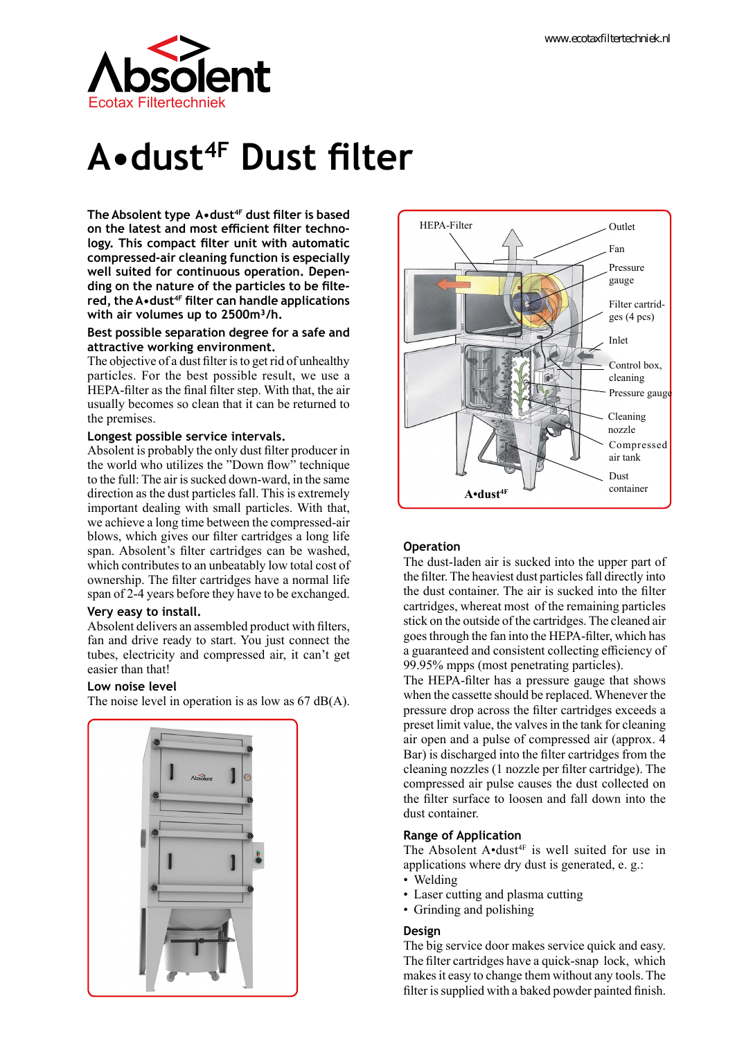

# **A•dust4F Dust filter**

**The Absolent type A•dust4F dust filter is based on the latest and most efficient filter technology. This compact filter unit with automatic compressed-air cleaning function is especially well suited for continuous operation. Depending on the nature of the particles to be filtered, the A•dust4F filter can handle applications with air volumes up to 2500m³/h.**

#### **Best possible separation degree for a safe and attractive working environment.**

The objective of a dust filter is to get rid of unhealthy particles. For the best possible result, we use a HEPA-filter as the final filter step. With that, the air usually becomes so clean that it can be returned to the premises.

#### **Longest possible service intervals.**

Absolent is probably the only dust filter producer in the world who utilizes the "Down flow" technique to the full: The air is sucked down-ward, in the same direction as the dust particles fall. This is extremely important dealing with small particles. With that, we achieve a long time between the compressed-air blows, which gives our filter cartridges a long life span. Absolent's filter cartridges can be washed, which contributes to an unbeatably low total cost of ownership. The filter cartridges have a normal life span of 2-4 years before they have to be exchanged.

#### **Very easy to install.**

Absolent delivers an assembled product with filters, fan and drive ready to start. You just connect the tubes, electricity and compressed air, it can't get easier than that!

#### **Low noise level**

The noise level in operation is as low as 67 dB(A).





### **Operation**

The dust-laden air is sucked into the upper part of the filter. The heaviest dust particles fall directly into the dust container. The air is sucked into the filter cartridges, whereat most of the remaining particles stick on the outside of the cartridges. The cleaned air goes through the fan into the HEPA-filter, which has a guaranteed and consistent collecting efficiency of 99.95% mpps (most penetrating particles).

The HEPA-filter has a pressure gauge that shows when the cassette should be replaced. Whenever the pressure drop across the filter cartridges exceeds a preset limit value, the valves in the tank for cleaning air open and a pulse of compressed air (approx. 4 Bar) is discharged into the filter cartridges from the cleaning nozzles (1 nozzle per filter cartridge). The compressed air pulse causes the dust collected on the filter surface to loosen and fall down into the dust container.

#### **Range of Application**

The Absolent  $A \cdot dust^{4F}$  is well suited for use in applications where dry dust is generated, e. g.:

- Welding
- Laser cutting and plasma cutting
- Grinding and polishing

#### **Design**

The big service door makes service quick and easy. The filter cartridges have a quick-snap lock, which makes it easy to change them without any tools. The filter is supplied with a baked powder painted finish.